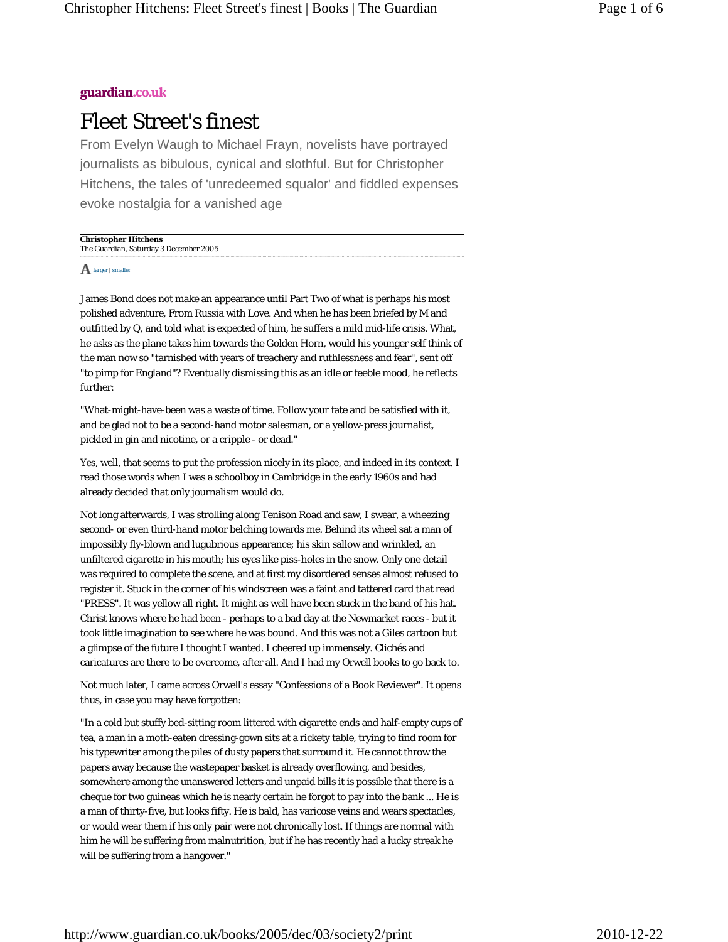## guardian.co.uk

# Fleet Street's finest

From Evelyn Waugh to Michael Frayn, novelists have portrayed journalists as bibulous, cynical and slothful. But for Christopher Hitchens, the tales of 'unredeemed squalor' and fiddled expenses evoke nostalgia for a vanished age

| <b>Christopher Hitchens</b>            |
|----------------------------------------|
| The Guardian, Saturday 3 December 2005 |
|                                        |

#### $\bf{A}$  larger | smaller

James Bond does not make an appearance until Part Two of what is perhaps his most polished adventure, From Russia with Love. And when he has been briefed by M and outfitted by Q, and told what is expected of him, he suffers a mild mid-life crisis. What, he asks as the plane takes him towards the Golden Horn, would his younger self think of the man now so "tarnished with years of treachery and ruthlessness and fear", sent off "to pimp for England"? Eventually dismissing this as an idle or feeble mood, he reflects further:

"What-might-have-been was a waste of time. Follow your fate and be satisfied with it, and be glad not to be a second-hand motor salesman, or a yellow-press journalist, pickled in gin and nicotine, or a cripple - or dead."

Yes, well, that seems to put the profession nicely in its place, and indeed in its context. I read those words when I was a schoolboy in Cambridge in the early 1960s and had already decided that only journalism would do.

Not long afterwards, I was strolling along Tenison Road and saw, I swear, a wheezing second- or even third-hand motor belching towards me. Behind its wheel sat a man of impossibly fly-blown and lugubrious appearance; his skin sallow and wrinkled, an unfiltered cigarette in his mouth; his eyes like piss-holes in the snow. Only one detail was required to complete the scene, and at first my disordered senses almost refused to register it. Stuck in the corner of his windscreen was a faint and tattered card that read "PRESS". It was yellow all right. It might as well have been stuck in the band of his hat. Christ knows where he had been - perhaps to a bad day at the Newmarket races - but it took little imagination to see where he was bound. And this was not a Giles cartoon but a glimpse of the future I thought I wanted. I cheered up immensely. Clichés and caricatures are there to be overcome, after all. And I had my Orwell books to go back to.

Not much later, I came across Orwell's essay "Confessions of a Book Reviewer". It opens thus, in case you may have forgotten:

"In a cold but stuffy bed-sitting room littered with cigarette ends and half-empty cups of tea, a man in a moth-eaten dressing-gown sits at a rickety table, trying to find room for his typewriter among the piles of dusty papers that surround it. He cannot throw the papers away because the wastepaper basket is already overflowing, and besides, somewhere among the unanswered letters and unpaid bills it is possible that there is a cheque for two guineas which he is nearly certain he forgot to pay into the bank ... He is a man of thirty-five, but looks fifty. He is bald, has varicose veins and wears spectacles, or would wear them if his only pair were not chronically lost. If things are normal with him he will be suffering from malnutrition, but if he has recently had a lucky streak he will be suffering from a hangover."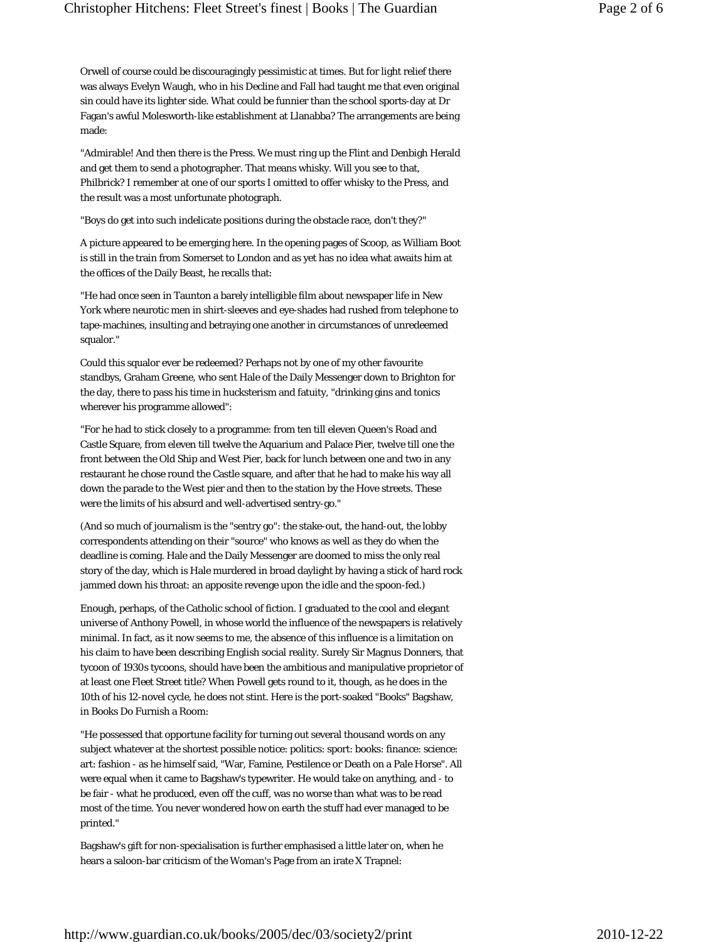Orwell of course could be discouragingly pessimistic at times. But for light relief there was always Evelyn Waugh, who in his Decline and Fall had taught me that even original sin could have its lighter side. What could be funnier than the school sports-day at Dr Fagan's awful Molesworth-like establishment at Llanabba? The arrangements are being made:

"Admirable! And then there is the Press. We must ring up the Flint and Denbigh Herald and get them to send a photographer. That means whisky. Will you see to that, Philbrick? I remember at one of our sports I omitted to offer whisky to the Press, and the result was a most unfortunate photograph.

"Boys do get into such indelicate positions during the obstacle race, don't they?"

A picture appeared to be emerging here. In the opening pages of Scoop, as William Boot is still in the train from Somerset to London and as yet has no idea what awaits him at the offices of the Daily Beast, he recalls that:

"He had once seen in Taunton a barely intelligible film about newspaper life in New York where neurotic men in shirt-sleeves and eye-shades had rushed from telephone to tape-machines, insulting and betraying one another in circumstances of unredeemed squalor."

Could this squalor ever be redeemed? Perhaps not by one of my other favourite standbys, Graham Greene, who sent Hale of the Daily Messenger down to Brighton for the day, there to pass his time in hucksterism and fatuity, "drinking gins and tonics wherever his programme allowed":

"For he had to stick closely to a programme: from ten till eleven Queen's Road and Castle Square, from eleven till twelve the Aquarium and Palace Pier, twelve till one the front between the Old Ship and West Pier, back for lunch between one and two in any restaurant he chose round the Castle square, and after that he had to make his way all down the parade to the West pier and then to the station by the Hove streets. These were the limits of his absurd and well-advertised sentry-go."

(And so much of journalism is the "sentry go": the stake-out, the hand-out, the lobby correspondents attending on their "source" who knows as well as they do when the deadline is coming. Hale and the Daily Messenger are doomed to miss the only real story of the day, which is Hale murdered in broad daylight by having a stick of hard rock jammed down his throat: an apposite revenge upon the idle and the spoon-fed.)

Enough, perhaps, of the Catholic school of fiction. I graduated to the cool and elegant universe of Anthony Powell, in whose world the influence of the newspapers is relatively minimal. In fact, as it now seems to me, the absence of this influence is a limitation on his claim to have been describing English social reality. Surely Sir Magnus Donners, that tycoon of 1930s tycoons, should have been the ambitious and manipulative proprietor of at least one Fleet Street title? When Powell gets round to it, though, as he does in the 10th of his 12-novel cycle, he does not stint. Here is the port-soaked "Books" Bagshaw, in Books Do Furnish a Room:

"He possessed that opportune facility for turning out several thousand words on any subject whatever at the shortest possible notice: politics: sport: books: finance: science: art: fashion - as he himself said, "War, Famine, Pestilence or Death on a Pale Horse". All were equal when it came to Bagshaw's typewriter. He would take on anything, and - to be fair - what he produced, even off the cuff, was no worse than what was to be read most of the time. You never wondered how on earth the stuff had ever managed to be printed."

Bagshaw's gift for non-specialisation is further emphasised a little later on, when he hears a saloon-bar criticism of the Woman's Page from an irate X Trapnel: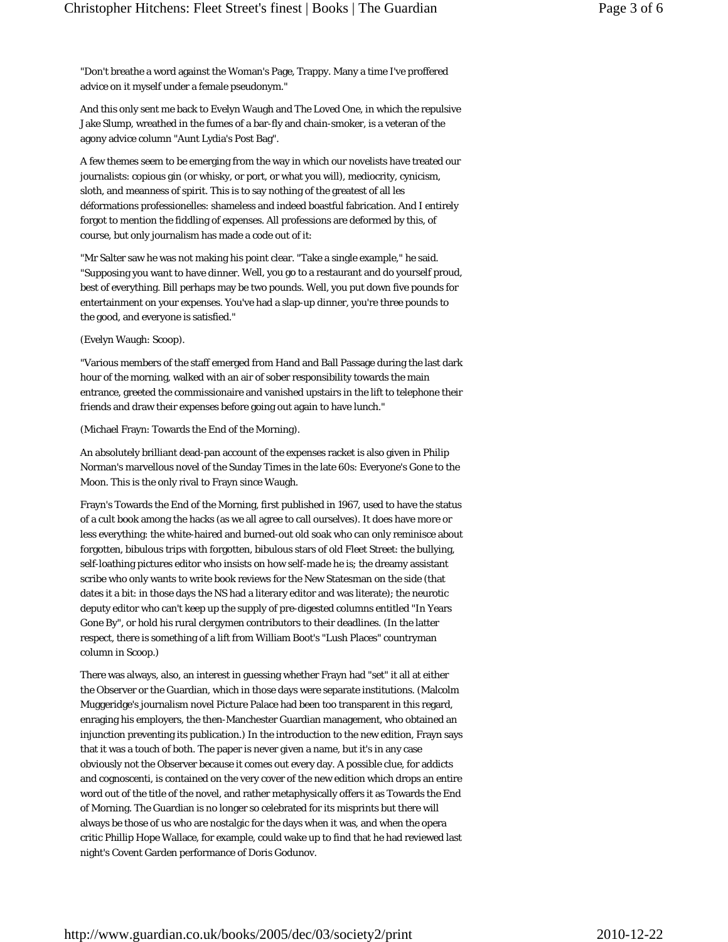"Don't breathe a word against the Woman's Page, Trappy. Many a time I've proffered advice on it myself under a female pseudonym."

And this only sent me back to Evelyn Waugh and The Loved One, in which the repulsive Jake Slump, wreathed in the fumes of a bar-fly and chain-smoker, is a veteran of the agony advice column "Aunt Lydia's Post Bag".

A few themes seem to be emerging from the way in which our novelists have treated our journalists: copious gin (or whisky, or port, or what you will), mediocrity, cynicism, sloth, and meanness of spirit. This is to say nothing of the greatest of all les déformations professionelles: shameless and indeed boastful fabrication. And I entirely forgot to mention the fiddling of expenses. All professions are deformed by this, of course, but only journalism has made a code out of it:

"Mr Salter saw he was not making his point clear. "Take a single example," he said. "Supposing you want to have dinner. Well, you go to a restaurant and do yourself proud, best of everything. Bill perhaps may be two pounds. Well, you put down five pounds for entertainment on your expenses. You've had a slap-up dinner, you're three pounds to the good, and everyone is satisfied."

(Evelyn Waugh: Scoop).

"Various members of the staff emerged from Hand and Ball Passage during the last dark hour of the morning, walked with an air of sober responsibility towards the main entrance, greeted the commissionaire and vanished upstairs in the lift to telephone their friends and draw their expenses before going out again to have lunch."

(Michael Frayn: Towards the End of the Morning).

An absolutely brilliant dead-pan account of the expenses racket is also given in Philip Norman's marvellous novel of the Sunday Times in the late 60s: Everyone's Gone to the Moon. This is the only rival to Frayn since Waugh.

Frayn's Towards the End of the Morning, first published in 1967, used to have the status of a cult book among the hacks (as we all agree to call ourselves). It does have more or less everything: the white-haired and burned-out old soak who can only reminisce about forgotten, bibulous trips with forgotten, bibulous stars of old Fleet Street: the bullying, self-loathing pictures editor who insists on how self-made he is; the dreamy assistant scribe who only wants to write book reviews for the New Statesman on the side (that dates it a bit: in those days the NS had a literary editor and was literate); the neurotic deputy editor who can't keep up the supply of pre-digested columns entitled "In Years Gone By", or hold his rural clergymen contributors to their deadlines. (In the latter respect, there is something of a lift from William Boot's "Lush Places" countryman column in Scoop.)

There was always, also, an interest in guessing whether Frayn had "set" it all at either the Observer or the Guardian, which in those days were separate institutions. (Malcolm Muggeridge's journalism novel Picture Palace had been too transparent in this regard, enraging his employers, the then-Manchester Guardian management, who obtained an injunction preventing its publication.) In the introduction to the new edition, Frayn says that it was a touch of both. The paper is never given a name, but it's in any case obviously not the Observer because it comes out every day. A possible clue, for addicts and cognoscenti, is contained on the very cover of the new edition which drops an entire word out of the title of the novel, and rather metaphysically offers it as Towards the End of Morning. The Guardian is no longer so celebrated for its misprints but there will always be those of us who are nostalgic for the days when it was, and when the opera critic Phillip Hope Wallace, for example, could wake up to find that he had reviewed last night's Covent Garden performance of Doris Godunov.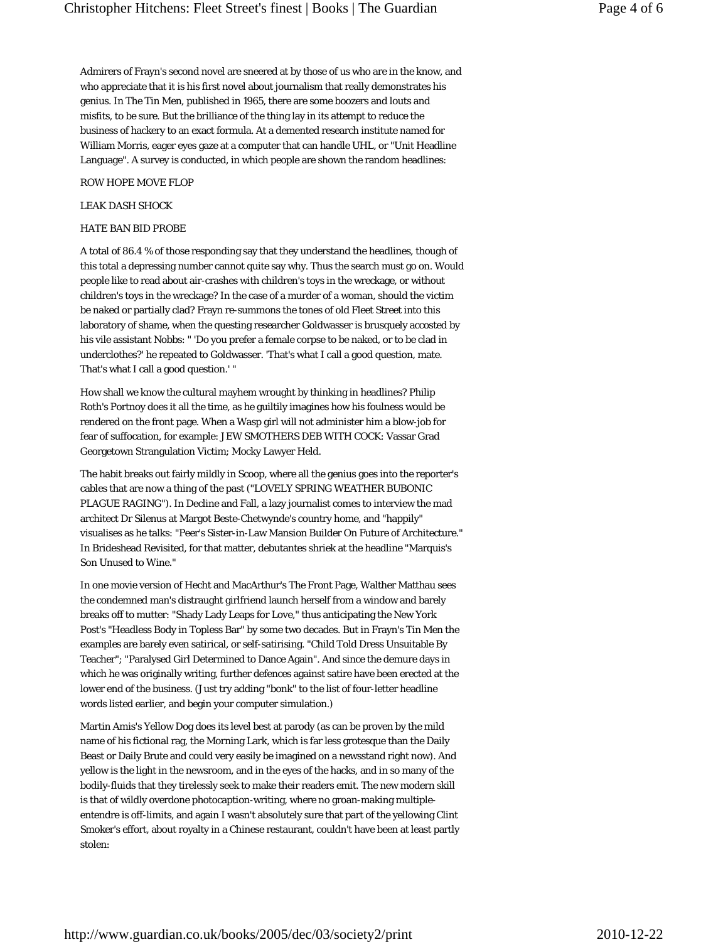Admirers of Frayn's second novel are sneered at by those of us who are in the know, and who appreciate that it is his first novel about journalism that really demonstrates his genius. In The Tin Men, published in 1965, there are some boozers and louts and misfits, to be sure. But the brilliance of the thing lay in its attempt to reduce the business of hackery to an exact formula. At a demented research institute named for William Morris, eager eyes gaze at a computer that can handle UHL, or "Unit Headline Language". A survey is conducted, in which people are shown the random headlines:

#### ROW HOPE MOVE FLOP

#### LEAK DASH SHOCK

### HATE BAN BID PROBE

A total of 86.4 % of those responding say that they understand the headlines, though of this total a depressing number cannot quite say why. Thus the search must go on. Would people like to read about air-crashes with children's toys in the wreckage, or without children's toys in the wreckage? In the case of a murder of a woman, should the victim be naked or partially clad? Frayn re-summons the tones of old Fleet Street into this laboratory of shame, when the questing researcher Goldwasser is brusquely accosted by his vile assistant Nobbs: " 'Do you prefer a female corpse to be naked, or to be clad in underclothes?' he repeated to Goldwasser. 'That's what I call a good question, mate. That's what I call a good question.' "

How shall we know the cultural mayhem wrought by thinking in headlines? Philip Roth's Portnoy does it all the time, as he guiltily imagines how his foulness would be rendered on the front page. When a Wasp girl will not administer him a blow-job for fear of suffocation, for example: JEW SMOTHERS DEB WITH COCK: Vassar Grad Georgetown Strangulation Victim; Mocky Lawyer Held.

The habit breaks out fairly mildly in Scoop, where all the genius goes into the reporter's cables that are now a thing of the past ("LOVELY SPRING WEATHER BUBONIC PLAGUE RAGING"). In Decline and Fall, a lazy journalist comes to interview the mad architect Dr Silenus at Margot Beste-Chetwynde's country home, and "happily" visualises as he talks: "Peer's Sister-in-Law Mansion Builder On Future of Architecture." In Brideshead Revisited, for that matter, debutantes shriek at the headline "Marquis's Son Unused to Wine."

In one movie version of Hecht and MacArthur's The Front Page, Walther Matthau sees the condemned man's distraught girlfriend launch herself from a window and barely breaks off to mutter: "Shady Lady Leaps for Love," thus anticipating the New York Post's "Headless Body in Topless Bar" by some two decades. But in Frayn's Tin Men the examples are barely even satirical, or self-satirising. "Child Told Dress Unsuitable By Teacher"; "Paralysed Girl Determined to Dance Again". And since the demure days in which he was originally writing, further defences against satire have been erected at the lower end of the business. (Just try adding "bonk" to the list of four-letter headline words listed earlier, and begin your computer simulation.)

Martin Amis's Yellow Dog does its level best at parody (as can be proven by the mild name of his fictional rag, the Morning Lark, which is far less grotesque than the Daily Beast or Daily Brute and could very easily be imagined on a newsstand right now). And yellow is the light in the newsroom, and in the eyes of the hacks, and in so many of the bodily-fluids that they tirelessly seek to make their readers emit. The new modern skill is that of wildly overdone photocaption-writing, where no groan-making multipleentendre is off-limits, and again I wasn't absolutely sure that part of the yellowing Clint Smoker's effort, about royalty in a Chinese restaurant, couldn't have been at least partly stolen: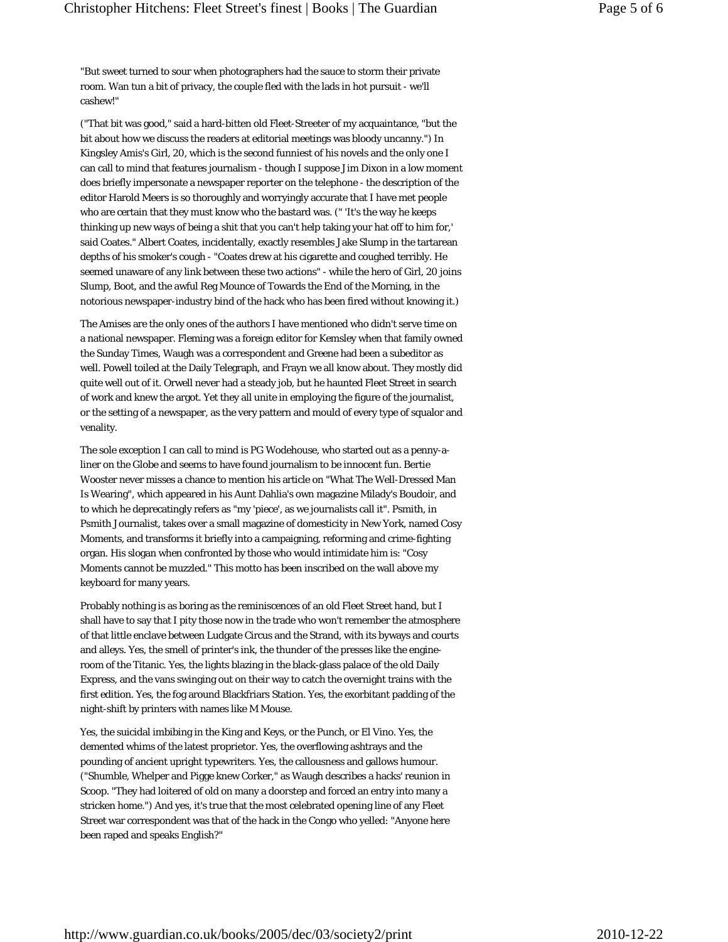"But sweet turned to sour when photographers had the sauce to storm their private room. Wan tun a bit of privacy, the couple fled with the lads in hot pursuit - we'll cashew!"

("That bit was good," said a hard-bitten old Fleet-Streeter of my acquaintance, "but the bit about how we discuss the readers at editorial meetings was bloody uncanny.") In Kingsley Amis's Girl, 20, which is the second funniest of his novels and the only one I can call to mind that features journalism - though I suppose Jim Dixon in a low moment does briefly impersonate a newspaper reporter on the telephone - the description of the editor Harold Meers is so thoroughly and worryingly accurate that I have met people who are certain that they must know who the bastard was. (" 'It's the way he keeps thinking up new ways of being a shit that you can't help taking your hat off to him for,' said Coates." Albert Coates, incidentally, exactly resembles Jake Slump in the tartarean depths of his smoker's cough - "Coates drew at his cigarette and coughed terribly. He seemed unaware of any link between these two actions" - while the hero of Girl, 20 joins Slump, Boot, and the awful Reg Mounce of Towards the End of the Morning, in the notorious newspaper-industry bind of the hack who has been fired without knowing it.)

The Amises are the only ones of the authors I have mentioned who didn't serve time on a national newspaper. Fleming was a foreign editor for Kemsley when that family owned the Sunday Times, Waugh was a correspondent and Greene had been a subeditor as well. Powell toiled at the Daily Telegraph, and Frayn we all know about. They mostly did quite well out of it. Orwell never had a steady job, but he haunted Fleet Street in search of work and knew the argot. Yet they all unite in employing the figure of the journalist, or the setting of a newspaper, as the very pattern and mould of every type of squalor and venality.

The sole exception I can call to mind is PG Wodehouse, who started out as a penny-aliner on the Globe and seems to have found journalism to be innocent fun. Bertie Wooster never misses a chance to mention his article on "What The Well-Dressed Man Is Wearing", which appeared in his Aunt Dahlia's own magazine Milady's Boudoir, and to which he deprecatingly refers as "my 'piece', as we journalists call it". Psmith, in Psmith Journalist, takes over a small magazine of domesticity in New York, named Cosy Moments, and transforms it briefly into a campaigning, reforming and crime-fighting organ. His slogan when confronted by those who would intimidate him is: "Cosy Moments cannot be muzzled." This motto has been inscribed on the wall above my keyboard for many years.

Probably nothing is as boring as the reminiscences of an old Fleet Street hand, but I shall have to say that I pity those now in the trade who won't remember the atmosphere of that little enclave between Ludgate Circus and the Strand, with its byways and courts and alleys. Yes, the smell of printer's ink, the thunder of the presses like the engineroom of the Titanic. Yes, the lights blazing in the black-glass palace of the old Daily Express, and the vans swinging out on their way to catch the overnight trains with the first edition. Yes, the fog around Blackfriars Station. Yes, the exorbitant padding of the night-shift by printers with names like M Mouse.

Yes, the suicidal imbibing in the King and Keys, or the Punch, or El Vino. Yes, the demented whims of the latest proprietor. Yes, the overflowing ashtrays and the pounding of ancient upright typewriters. Yes, the callousness and gallows humour. ("Shumble, Whelper and Pigge knew Corker," as Waugh describes a hacks' reunion in Scoop. "They had loitered of old on many a doorstep and forced an entry into many a stricken home.") And yes, it's true that the most celebrated opening line of any Fleet Street war correspondent was that of the hack in the Congo who yelled: "Anyone here been raped and speaks English?"